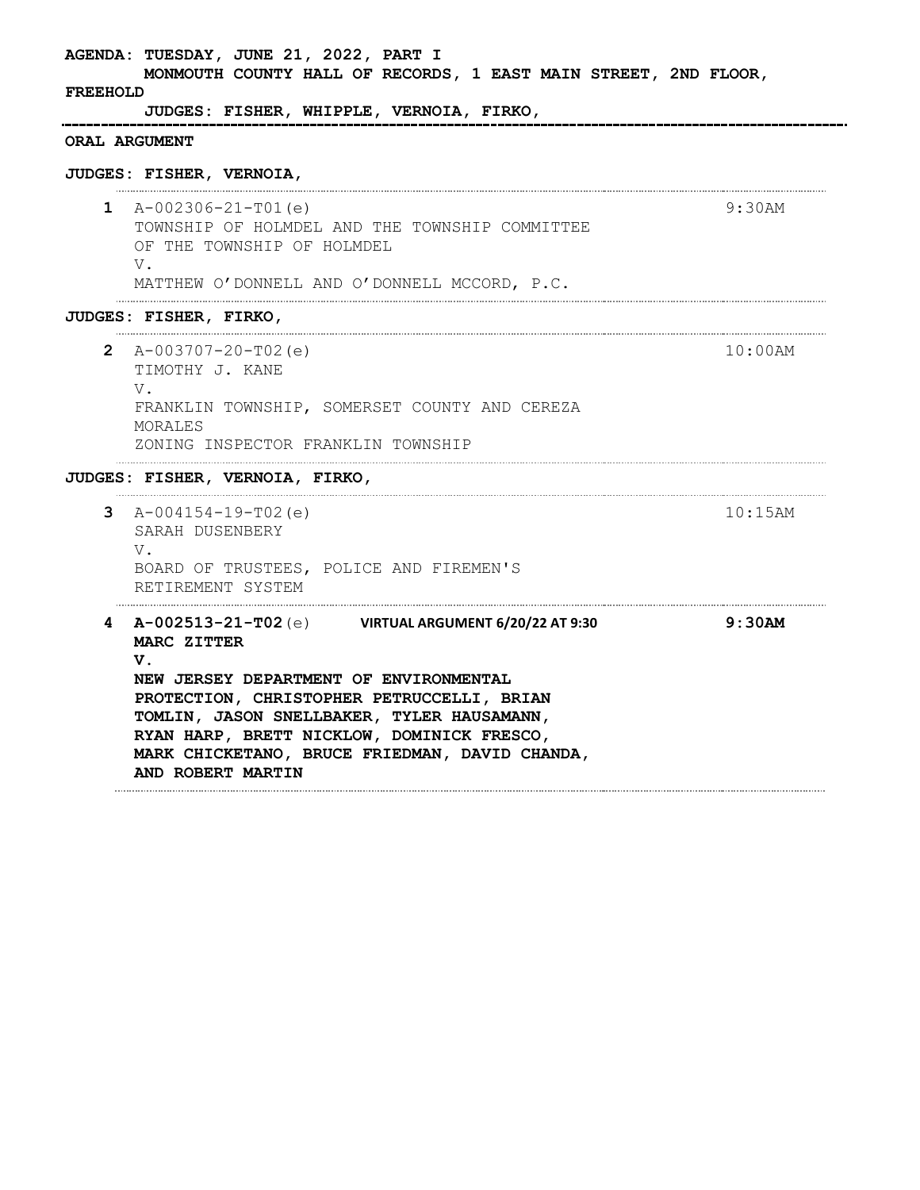**AGENDA: TUESDAY, JUNE 21, 2022, PART I MONMOUTH COUNTY HALL OF RECORDS, 1 EAST MAIN STREET, 2ND FLOOR, FREEHOLD JUDGES: FISHER, WHIPPLE, VERNOIA, FIRKO,**  -----------------------------------**ORAL ARGUMENT JUDGES: FISHER, VERNOIA, 1** A-002306-21-T01(e) 9:30AM TOWNSHIP OF HOLMDEL AND THE TOWNSHIP COMMITTEE OF THE TOWNSHIP OF HOLMDEL V. MATTHEW O'DONNELL AND O'DONNELL MCCORD, P.C. **JUDGES: FISHER, FIRKO, 2** A-003707-20-T02(e) 10:00AM TIMOTHY J. KANE V. FRANKLIN TOWNSHIP, SOMERSET COUNTY AND CEREZA MORALES ZONING INSPECTOR FRANKLIN TOWNSHIP **JUDGES: FISHER, VERNOIA, FIRKO, 3** A-004154-19-T02(e) 10:15AM SARAH DUSENBERY V. BOARD OF TRUSTEES, POLICE AND FIREMEN'S RETIREMENT SYSTEM **4 A-002513-21-T02**(e) **VIRTUAL ARGUMENT 6/20/22 AT 9:30 9:30AMMARC ZITTER V. NEW JERSEY DEPARTMENT OF ENVIRONMENTAL PROTECTION, CHRISTOPHER PETRUCCELLI, BRIAN TOMLIN, JASON SNELLBAKER, TYLER HAUSAMANN, RYAN HARP, BRETT NICKLOW, DOMINICK FRESCO, MARK CHICKETANO, BRUCE FRIEDMAN, DAVID CHANDA, AND ROBERT MARTIN**